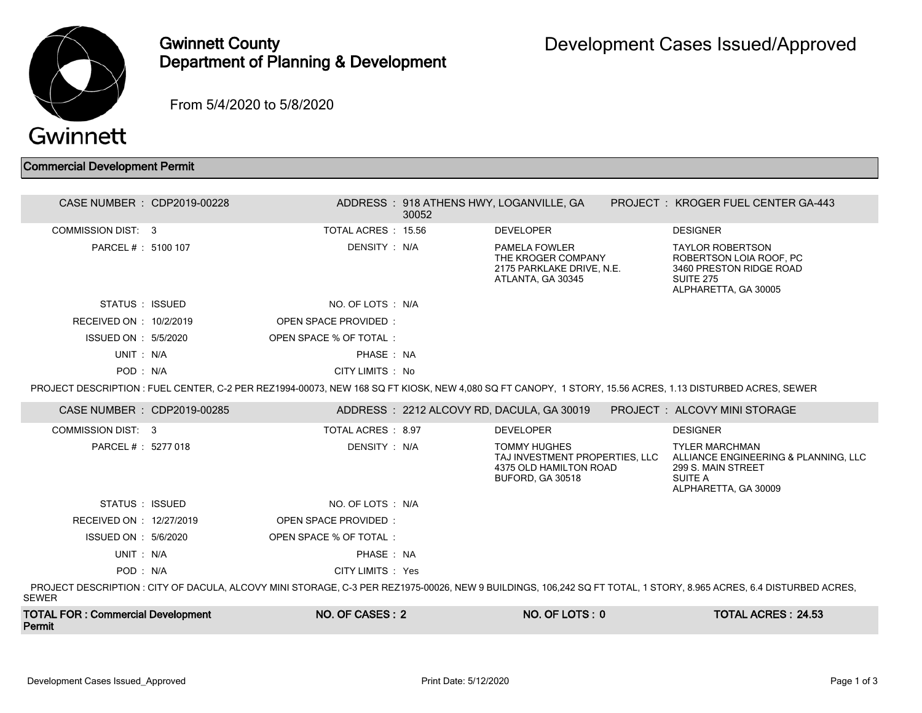

## Gwinnett County Department of Planning & Development

From 5/4/2020 to 5/8/2020

## Commercial Development Permit

| CASE NUMBER : CDP2019-00228                        |                             | 30052 | ADDRESS : 918 ATHENS HWY, LOGANVILLE, GA                                                                   | PROJECT: KROGER FUEL CENTER GA-443                                                                                                                                 |
|----------------------------------------------------|-----------------------------|-------|------------------------------------------------------------------------------------------------------------|--------------------------------------------------------------------------------------------------------------------------------------------------------------------|
| COMMISSION DIST: 3                                 | TOTAL ACRES: 15.56          |       | <b>DEVELOPER</b>                                                                                           | <b>DESIGNER</b>                                                                                                                                                    |
| PARCEL # : 5100 107                                | DENSITY : N/A               |       | <b>PAMELA FOWLER</b><br>THE KROGER COMPANY<br>2175 PARKLAKE DRIVE, N.E.<br>ATLANTA, GA 30345               | <b>TAYLOR ROBERTSON</b><br>ROBERTSON LOIA ROOF, PC<br>3460 PRESTON RIDGE ROAD<br><b>SUITE 275</b><br>ALPHARETTA, GA 30005                                          |
| STATUS : ISSUED                                    | NO. OF LOTS : N/A           |       |                                                                                                            |                                                                                                                                                                    |
| RECEIVED ON : 10/2/2019                            | <b>OPEN SPACE PROVIDED:</b> |       |                                                                                                            |                                                                                                                                                                    |
| ISSUED ON : 5/5/2020                               | OPEN SPACE % OF TOTAL:      |       |                                                                                                            |                                                                                                                                                                    |
| UNIT: N/A                                          | PHASE: NA                   |       |                                                                                                            |                                                                                                                                                                    |
| POD: N/A                                           | CITY LIMITS: No             |       |                                                                                                            |                                                                                                                                                                    |
|                                                    |                             |       |                                                                                                            | PROJECT DESCRIPTION : FUEL CENTER, C-2 PER REZ1994-00073, NEW 168 SQ FT KIOSK, NEW 4.080 SQ FT CANOPY, 1 STORY, 15.56 ACRES, 1.13 DISTURBED ACRES, SEWER           |
| CASE NUMBER : CDP2019-00285                        |                             |       | ADDRESS: 2212 ALCOVY RD, DACULA, GA 30019                                                                  | PROJECT : ALCOVY MINI STORAGE                                                                                                                                      |
| COMMISSION DIST: 3                                 | TOTAL ACRES : 8.97          |       | <b>DEVELOPER</b>                                                                                           | <b>DESIGNER</b>                                                                                                                                                    |
| PARCEL # : 5277 018                                | DENSITY: N/A                |       | <b>TOMMY HUGHES</b><br>TAJ INVESTMENT PROPERTIES. LLC<br>4375 OLD HAMILTON ROAD<br><b>BUFORD, GA 30518</b> | <b>TYLER MARCHMAN</b><br>ALLIANCE ENGINEERING & PLANNING, LLC<br>299 S. MAIN STREET<br><b>SUITE A</b><br>ALPHARETTA, GA 30009                                      |
| STATUS : ISSUED                                    | NO. OF LOTS: N/A            |       |                                                                                                            |                                                                                                                                                                    |
| RECEIVED ON : 12/27/2019                           | <b>OPEN SPACE PROVIDED:</b> |       |                                                                                                            |                                                                                                                                                                    |
| ISSUED ON : 5/6/2020                               | OPEN SPACE % OF TOTAL:      |       |                                                                                                            |                                                                                                                                                                    |
| UNIT: N/A                                          | PHASE: NA                   |       |                                                                                                            |                                                                                                                                                                    |
| POD: N/A                                           | CITY LIMITS : Yes           |       |                                                                                                            |                                                                                                                                                                    |
| <b>SEWER</b>                                       |                             |       |                                                                                                            | PROJECT DESCRIPTION : CITY OF DACULA, ALCOVY MINI STORAGE, C-3 PER REZ1975-00026, NEW 9 BUILDINGS, 106,242 SQ FT TOTAL, 1 STORY, 8.965 ACRES, 6.4 DISTURBED ACRES, |
| <b>TOTAL FOR: Commercial Development</b><br>Permit | NO. OF CASES: 2             |       | $NO. OF  LOTS: 0$                                                                                          | <b>TOTAL ACRES: 24.53</b>                                                                                                                                          |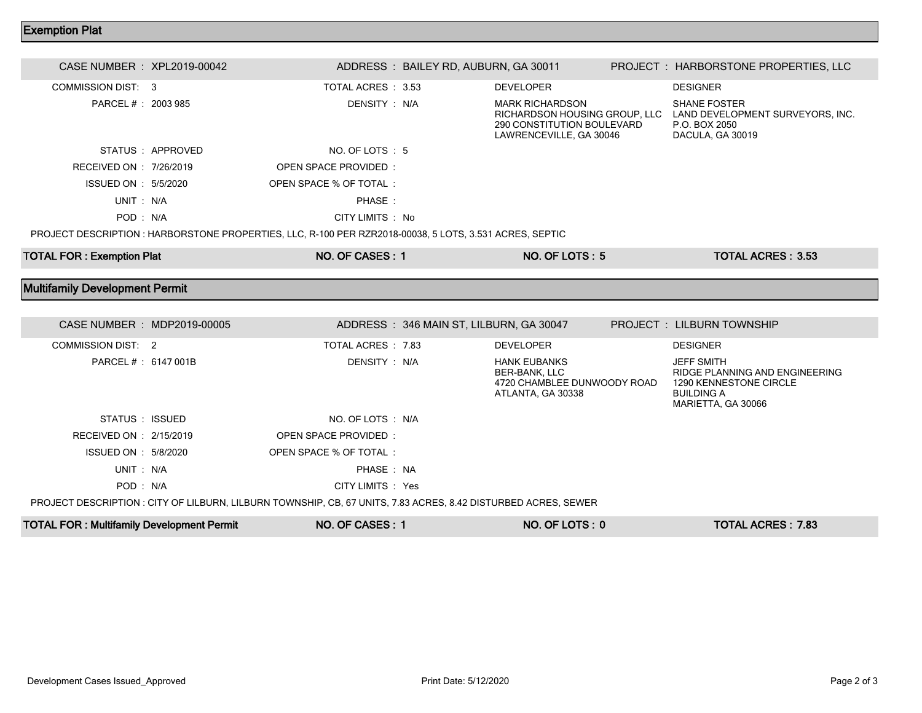## Exemption Plat

| CASE NUMBER : XPL2019-00042           |                  |                                                                                                         | ADDRESS: BAILEY RD, AUBURN, GA 30011    |                                                                                                                  | PROJECT : HARBORSTONE PROPERTIES, LLC                                                                                    |  |
|---------------------------------------|------------------|---------------------------------------------------------------------------------------------------------|-----------------------------------------|------------------------------------------------------------------------------------------------------------------|--------------------------------------------------------------------------------------------------------------------------|--|
| <b>COMMISSION DIST: 3</b>             |                  | TOTAL ACRES : 3.53                                                                                      |                                         | <b>DEVELOPER</b>                                                                                                 | <b>DESIGNER</b>                                                                                                          |  |
| PARCEL # : 2003 985                   |                  | DENSITY : N/A                                                                                           |                                         | <b>MARK RICHARDSON</b><br>RICHARDSON HOUSING GROUP, LLC<br>290 CONSTITUTION BOULEVARD<br>LAWRENCEVILLE, GA 30046 | <b>SHANE FOSTER</b><br>LAND DEVELOPMENT SURVEYORS, INC.<br>P.O. BOX 2050<br>DACULA, GA 30019                             |  |
|                                       | STATUS: APPROVED | NO. OF LOTS: 5                                                                                          |                                         |                                                                                                                  |                                                                                                                          |  |
| RECEIVED ON : 7/26/2019               |                  | OPEN SPACE PROVIDED:                                                                                    |                                         |                                                                                                                  |                                                                                                                          |  |
| ISSUED ON : 5/5/2020                  |                  | OPEN SPACE % OF TOTAL:                                                                                  |                                         |                                                                                                                  |                                                                                                                          |  |
| UNIT: N/A                             |                  | PHASE:                                                                                                  |                                         |                                                                                                                  |                                                                                                                          |  |
| POD: N/A                              |                  | CITY LIMITS : No                                                                                        |                                         |                                                                                                                  |                                                                                                                          |  |
|                                       |                  | PROJECT DESCRIPTION : HARBORSTONE PROPERTIES, LLC, R-100 PER RZR2018-00038, 5 LOTS, 3.531 ACRES, SEPTIC |                                         |                                                                                                                  |                                                                                                                          |  |
| <b>TOTAL FOR: Exemption Plat</b>      |                  | NO. OF CASES: 1                                                                                         |                                         | NO. OF LOTS: 5                                                                                                   | <b>TOTAL ACRES: 3.53</b>                                                                                                 |  |
|                                       |                  |                                                                                                         |                                         |                                                                                                                  |                                                                                                                          |  |
| <b>Multifamily Development Permit</b> |                  |                                                                                                         |                                         |                                                                                                                  |                                                                                                                          |  |
|                                       |                  |                                                                                                         |                                         |                                                                                                                  |                                                                                                                          |  |
|                                       |                  |                                                                                                         |                                         |                                                                                                                  |                                                                                                                          |  |
| CASE NUMBER : MDP2019-00005           |                  |                                                                                                         | ADDRESS: 346 MAIN ST, LILBURN, GA 30047 |                                                                                                                  | <b>PROJECT : LILBURN TOWNSHIP</b>                                                                                        |  |
| <b>COMMISSION DIST: 2</b>             |                  | TOTAL ACRES : 7.83                                                                                      |                                         | <b>DEVELOPER</b>                                                                                                 | <b>DESIGNER</b>                                                                                                          |  |
| PARCEL # : 6147 001B                  |                  | DENSITY: N/A                                                                                            |                                         | <b>HANK EUBANKS</b><br><b>BER-BANK, LLC</b><br>4720 CHAMBLEE DUNWOODY ROAD<br>ATLANTA, GA 30338                  | <b>JEFF SMITH</b><br>RIDGE PLANNING AND ENGINEERING<br>1290 KENNESTONE CIRCLE<br><b>BUILDING A</b><br>MARIETTA, GA 30066 |  |
| STATUS: ISSUED                        |                  | NO. OF LOTS : N/A                                                                                       |                                         |                                                                                                                  |                                                                                                                          |  |
| RECEIVED ON : 2/15/2019               |                  | <b>OPEN SPACE PROVIDED:</b>                                                                             |                                         |                                                                                                                  |                                                                                                                          |  |
| ISSUED ON : 5/8/2020                  |                  | OPEN SPACE % OF TOTAL:                                                                                  |                                         |                                                                                                                  |                                                                                                                          |  |
| UNIT: N/A                             |                  | PHASE: NA                                                                                               |                                         |                                                                                                                  |                                                                                                                          |  |
| POD: N/A                              |                  | CITY LIMITS : Yes                                                                                       |                                         |                                                                                                                  |                                                                                                                          |  |

PROJECT DESCRIPTION : CITY OF LILBURN, LILBURN TOWNSHIP, CB, 67 UNITS, 7.83 ACRES, 8.42 DISTURBED ACRES, SEWER

| <b>TOTAL FOR: Multifamily Development Permit</b><br>NO. OF CASES : | NO. OF LOTS: 0 | <b>TOTAL ACRES: 7.83</b> |
|--------------------------------------------------------------------|----------------|--------------------------|
|--------------------------------------------------------------------|----------------|--------------------------|